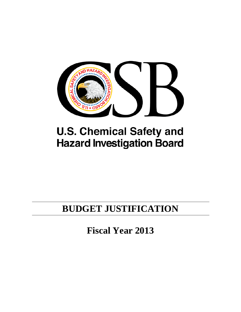

# **U.S. Chemical Safety and Hazard Investigation Board**

# **BUDGET JUSTIFICATION**

**Fiscal Year 2013**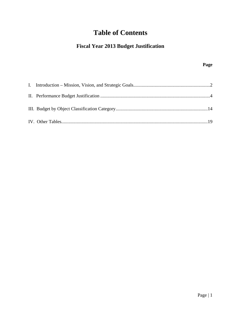# **Table of Contents**

# **Fiscal Year 2013 Budget Justification**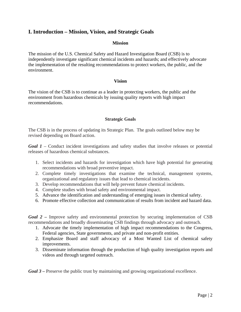## **I. Introduction – Mission, Vision, and Strategic Goals**

#### **Mission**

The mission of the U.S. Chemical Safety and Hazard Investigation Board (CSB) is to independently investigate significant chemical incidents and hazards; and effectively advocate the implementation of the resulting recommendations to protect workers, the public, and the environment.

#### **Vision**

The vision of the CSB is to continue as a leader in protecting workers, the public and the environment from hazardous chemicals by issuing quality reports with high impact recommendations.

#### **Strategic Goals**

The CSB is in the process of updating its Strategic Plan. The goals outlined below may be revised depending on Board action.

*Goal 1* – Conduct incident investigations and safety studies that involve releases or potential releases of hazardous chemical substances.

- 1. Select incidents and hazards for investigation which have high potential for generating recommendations with broad preventive impact.
- 2. Complete timely investigations that examine the technical, management systems, organizational and regulatory issues that lead to chemical incidents.
- 3. Develop recommendations that will help prevent future chemical incidents.
- 4. Complete studies with broad safety and environmental impact.
- 5. Advance the identification and understanding of emerging issues in chemical safety.
- 6. Promote effective collection and communication of results from incident and hazard data.

*Goal 2 –* Improve safety and environmental protection by securing implementation of CSB recommendations and broadly disseminating CSB findings through advocacy and outreach.

- 1. Advocate the timely implementation of high impact recommendations to the Congress, Federal agencies, State governments, and private and non-profit entities.
- 2. Emphasize Board and staff advocacy of a Most Wanted List of chemical safety improvements.
- 3. Disseminate information through the production of high quality investigation reports and videos and through targeted outreach.

*Goal 3* – Preserve the public trust by maintaining and growing organizational excellence.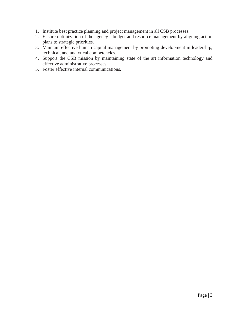- 1. Institute best practice planning and project management in all CSB processes.
- 2. Ensure optimization of the agency's budget and resource management by aligning action plans to strategic priorities.
- 3. Maintain effective human capital management by promoting development in leadership, technical, and analytical competencies.
- 4. Support the CSB mission by maintaining state of the art information technology and effective administrative processes.
- 5. Foster effective internal communications.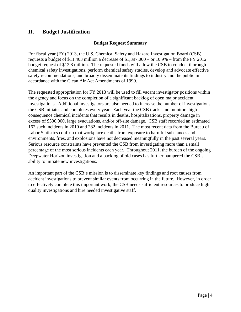## **II. Budget Justification**

#### **Budget Request Summary**

For fiscal year (FY) 2013, the U.S. Chemical Safety and Hazard Investigation Board (CSB) requests a budget of \$11.403 million a decrease of  $$1,397,000 - or 10.9% - from the FY 2012$ budget request of \$12.8 million. The requested funds will allow the CSB to conduct thorough chemical safety investigations, perform chemical safety studies, develop and advocate effective safety recommendations, and broadly disseminate its findings to industry and the public in accordance with the Clean Air Act Amendments of 1990.

The requested appropriation for FY 2013 will be used to fill vacant investigator positions within the agency and focus on the completion of a significant backlog of open major accident investigations. Additional investigators are also needed to increase the number of investigations the CSB initiates and completes every year. Each year the CSB tracks and monitors highconsequence chemical incidents that results in deaths, hospitalizations, property damage in excess of \$500,000, large evacuations, and/or off-site damage. CSB staff recorded an estimated 162 such incidents in 2010 and 282 incidents in 2011. The most recent data from the Bureau of Labor Statistics confirm that workplace deaths from exposure to harmful substances and environments, fires, and explosions have not decreased meaningfully in the past several years. Serious resource constraints have prevented the CSB from investigating more than a small percentage of the most serious incidents each year. Throughout 2011, the burden of the ongoing Deepwater Horizon investigation and a backlog of old cases has further hampered the CSB's ability to initiate new investigations.

An important part of the CSB's mission is to disseminate key findings and root causes from accident investigations to prevent similar events from occurring in the future. However, in order to effectively complete this important work, the CSB needs sufficient resources to produce high quality investigations and hire needed investigative staff.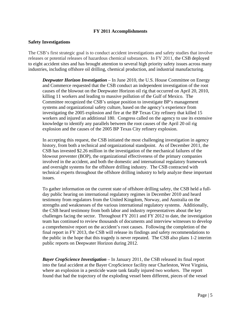#### **FY 2011 Accomplishments**

#### **Safety Investigations**

The CSB's first strategic goal is to conduct accident investigations and safety studies that involve releases or potential releases of hazardous chemical substances. In FY 2011, the CSB deployed to eight accident sites and has brought attention to several high priority safety issues across many industries, including offshore oil drilling, chemical production, and industrial manufacturing.

*Deepwater Horizon Investigation* – In June 2010, the U.S. House Committee on Energy and Commerce requested that the CSB conduct an independent investigation of the root causes of the blowout on the Deepwater Horizon oil rig that occurred on April 20, 2010, killing 11 workers and leading to massive pollution of the Gulf of Mexico. The Committee recognized the CSB's unique position to investigate BP's management systems and organizational safety culture, based on the agency's experience from investigating the 2005 explosion and fire at the BP Texas City refinery that killed 15 workers and injured an additional 180. Congress called on the agency to use its extensive knowledge to identify any parallels between the root causes of the April 20 oil rig explosion and the causes of the 2005 BP Texas City refinery explosion.

In accepting this request, the CSB initiated the most challenging investigation in agency history, from both a technical and organizational standpoint. As of December 2011, the CSB has invested \$2.26 million in the investigation of the mechanical failures of the blowout preventer (BOP), the organizational effectiveness of the primary companies involved in the accident, and both the domestic and international regulatory framework and oversight systems for the offshore drilling industry. The CSB contracted with technical experts throughout the offshore drilling industry to help analyze these important issues.

To gather information on the current state of offshore drilling safety, the CSB held a fullday public hearing on international regulatory regimes in December 2010 and heard testimony from regulators from the United Kingdom, Norway, and Australia on the strengths and weaknesses of the various international regulatory systems. Additionally, the CSB heard testimony from both labor and industry representatives about the key challenges facing the sector. Throughout FY 2011 and FY 2012 to date, the investigation team has continued to review thousands of documents and interview witnesses to develop a comprehensive report on the accident's root causes. Following the completion of the final report in FY 2013, the CSB will release its findings and safety recommendations to the public in the hope that this tragedy is never repeated. The CSB also plans 1-2 interim public reports on Deepwater Horizon during 2012.

*Bayer CropScience Investigation* – In January 2011, the CSB released its final report into the fatal accident at the Bayer CropScience facility near Charleston, West Virginia, where an explosion in a pesticide waste tank fatally injured two workers. The report found that had the trajectory of the exploding vessel been different, pieces of the vessel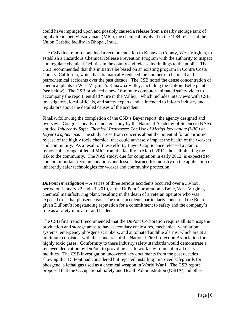could have impinged upon and possibly caused a release from a nearby storage tank of highly toxic methyl isocyanate (MIC), the chemical involved in the 1984 release at the Union Carbide facility in Bhopal, India.

The CSB final report contained a recommendation to Kanawha County, West Virginia, to establish a Hazardous Chemical Release Prevention Program with the authority to inspect and regulate chemical facilities in the county and release its findings to the public. The CSB recommended that this initiative be based on an existing program in Contra Costa County, California, which has dramatically reduced the number of chemical and petrochemical accidents over the past decade. The CSB noted the dense concentration of chemical plants in West Virginia's Kanawha Valley, including the DuPont Belle plant (see below). The CSB produced a new 16-minute computer-animated safety video to accompany the report, entitled "Fire in the Valley," which includes interviews with CSB investigators, local officials, and safety experts and is intended to inform industry and regulators about the detailed causes of the accident.

Finally, following the completion of the CSB's Bayer report, the agency designed and oversaw a Congressionally-mandated study by the National Academy of Sciences (NAS) entitled *Inherently Safer Chemical Processes: The Use of Methyl Isocyanate (MIC) at Bayer CropScience.* The study arose from concerns about the potential for an airborne release of the highly toxic chemical that could adversely impact the health of the workers and community. As a result of these efforts, Bayer CropScience released a plan to remove all storage of lethal MIC from the facility in March 2011, thus eliminating the risk to the community. The NAS study, due for completion in early 2012, is expected to contain important recommendations and lessons learned for industry on the application of inherently safer technologies for worker and community protection.

*DuPont Investigation* – A series of three serious accidents occurred over a 33-hour period on January 22 and 23, 2010, at the DuPont Corporation's Belle, West Virginia, chemical manufacturing plant, resulting in the death of a veteran operator who was exposed to lethal phosgene gas. The three accidents particularly concerned the Board given DuPont's longstanding reputation for a commitment to safety and the company's role as a safety innovator and leader.

The CSB final report recommended that the DuPont Corporation require all its phosgene production and storage areas to have secondary enclosures, mechanical ventilation systems, emergency phosgene scrubbers, and automated audible alarms, which are at a minimum consistent with the standards of the National Fire Protection Association for highly toxic gases. Conformity to these industry safety standards would demonstrate a renewed dedication by DuPont to providing a safe work environment in all of its facilities. The CSB investigation uncovered key documents from the past decades showing that DuPont had considered but rejected installing improved safeguards for phosgene, a lethal gas used as a chemical weapon in World War I. The CSB report proposed that the Occupational Safety and Health Administration (OSHA) and other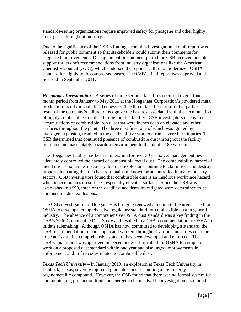standards-setting organizations require improved safety for phosgene and other highly toxic gases throughout industry.

Due to the significance of the CSB's findings from this investigation, a draft report was released for public comment so that stakeholders could submit their comments for suggested improvements. During the public comment period the CSB received notable support for its draft recommendations from industry organizations like the American Chemistry Council (ACC), which endorsed the report's call for a modernized OSHA standard for highly toxic compressed gases. The CSB's final report was approved and released in September 2011.

*Hoeganaes Investigation* – A series of three serious flash fires occurred over a fourmonth period from January to May 2011 at the Hoeganaes Corporation's powdered metal production facility in Gallatin, Tennessee. The three flash fires occurred in part as a result of the company's failure to recognize the hazards associated with the accumulation of highly combustible iron dust throughout the facility. CSB investigators discovered accumulations of combustible iron dust that were inches deep on elevated and other surfaces throughout the plant. The three dust fires, one of which was ignited by a hydrogen explosion, resulted in the deaths of five workers from severe burn injuries. The CSB determined that continued presence of combustible dust throughout the facility presented an unacceptably hazardous environment to the plant's 180 workers.

The Hoeganaes facility has been in operation for over 30 years, yet management never adequately controlled the hazard of combustible metal dust. The combustibility hazard of metal dust is not a new discovery, but dust explosions continue to claim lives and destroy property indicating that this hazard remains unknown or uncontrolled in many industry sectors. CSB investigators found that combustible dust is an insidious workplace hazard when it accumulates on surfaces, especially elevated surfaces. Since the CSB was established in 1998, three of the deadliest accidents investigated were determined to be combustible dust explosions.

The CSB investigation of Hoeganaes is bringing renewed attention to the urgent need for OSHA to develop a comprehensive regulatory standard for combustible dust in general industry. The absence of a comprehensive OSHA dust standard was a key finding in the CSB's 2006 Combustible Dust Study and resulted in a CSB recommendation to OSHA to initiate rulemaking. Although OSHA has now committed to developing a standard, the CSB recommendation remains open and workers throughout various industries continue to be at risk until a comprehensive standard has been developed and enforced. The CSB's final report was approved in December 2011; it called for OSHA to complete work on a proposed dust standard within one year and also urged improvements in enforcement and in fire codes related to combustible dust.

*Texas Tech University* – In January 2010, an explosion at Texas Tech University in Lubbock, Texas, severely injured a graduate student handling a high-energy organometallic compound. However, the CSB found that there was no formal system for communicating production limits on energetic chemicals. The investigation also found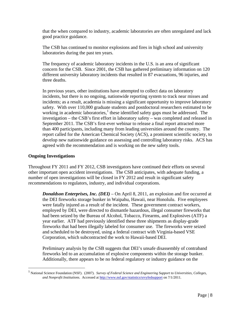that the when compared to industry, academic laboratories are often unregulated and lack good practice guidance.

The CSB has continued to monitor explosions and fires in high school and university laboratories during the past ten years.

The frequency of academic laboratory incidents in the U.S. is an area of significant concern for the CSB. Since 2001, the CSB has gathered preliminary information on 120 different university laboratory incidents that resulted in 87 evacuations, 96 injuries, and three deaths.

In previous years, other institutions have attempted to collect data on laboratory incidents, but there is no ongoing, nationwide reporting system to track near misses and incidents; as a result, academia is missing a significant opportunity to improve laboratory safety. With over 110,000 graduate students and postdoctoral researchers estimated to be working in academic laboratories, $<sup>1</sup>$  $<sup>1</sup>$  $<sup>1</sup>$  these identified safety gaps must be addressed. The</sup> investigation – the CSB's first effort in laboratory safety – was completed and released in September 2011. The CSB's first-ever webinar to release a final report attracted more than 400 participants, including many from leading universities around the country. The report called for the American Chemical Society (ACS), a prominent scientific society, to develop new nationwide guidance on assessing and controlling laboratory risks. ACS has agreed with the recommendation and is working on the new safety tools.

#### **Ongoing Investigations**

Throughout FY 2011 and FY 2012, CSB investigators have continued their efforts on several other important open accident investigations. The CSB anticipates, with adequate funding, a number of open investigations will be closed in FY 2012 and result in significant safety recommendations to regulators, industry, and individual corporations.

*Donaldson Enterprises, Inc. (DEI)* – On April 8, 2011, an explosion and fire occurred at the DEI fireworks storage bunker in Waipahu, Hawaii, near Honolulu. Five employees were fatally injured as a result of the incident. These government contract workers, employed by DEI, were directed to dismantle hazardous, illegal consumer fireworks that had been seized by the Bureau of Alcohol, Tobacco, Firearms, and Explosives (ATF) a year earlier. ATF had previously identified these three shipments as display-grade fireworks that had been illegally labeled for consumer use. The fireworks were seized and scheduled to be destroyed, using a federal contract with Virginia-based VSE Corporation, which subcontracted the work to Hawaii-based DEI.

Preliminary analysis by the CSB suggests that DEI's unsafe disassembly of contraband fireworks led to an accumulation of explosive components within the storage bunker. Additionally, there appears to be no federal regulatory or industry guidance on the

<span id="page-8-0"></span> <sup>1</sup> National Science Foundation (NSF). (2007). *Survey of Federal Science and Engineering Support to Universities, Colleges, and Nonprofit Institutions*. Accessed a[t http://www.nsf.gov/statistics/srvyfedsupport](http://www.nsf.gov/statistics/srvyfedsupport) on 7/1/2011.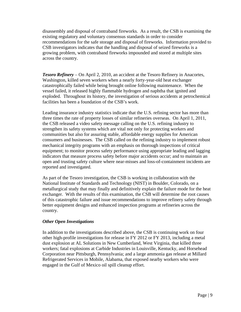disassembly and disposal of contraband fireworks. As a result, the CSB is examining the existing regulatory and voluntary consensus standards in order to consider recommendations for the safe storage and disposal of fireworks. Information provided to CSB investigators indicates that the handling and disposal of seized fireworks is a growing problem, with contraband fireworks impounded and stored at multiple sites across the country.

*Tesoro Refinery* – On April 2, 2010, an accident at the Tesoro Refinery in Anacortes, Washington, killed seven workers when a nearly forty-year-old heat exchanger catastrophically failed while being brought online following maintenance. When the vessel failed, it released highly flammable hydrogen and naphtha that ignited and exploded. Throughout its history, the investigation of serious accidents at petrochemical facilities has been a foundation of the CSB's work.

Leading insurance industry statistics indicate that the U.S. refining sector has more than three times the rate of property losses of similar refineries overseas. On April 1, 2011, the CSB released a video safety message calling on the U.S. refining industry to strengthen its safety systems which are vital not only for protecting workers and communities but also for assuring stable, affordable energy supplies for American consumers and businesses. The CSB called on the refining industry to implement robust mechanical integrity programs with an emphasis on thorough inspections of critical equipment; to monitor process safety performance using appropriate leading and lagging indicators that measure process safety before major accidents occur; and to maintain an open and trusting safety culture where near-misses and loss-of-containment incidents are reported and investigated.

As part of the Tesoro investigation, the CSB is working in collaboration with the National Institute of Standards and Technology (NIST) in Boulder, Colorado, on a metallurgical study that may finally and definitively explain the failure mode for the heat exchanger. With the results of this examination, the CSB will determine the root causes of this catastrophic failure and issue recommendations to improve refinery safety through better equipment designs and enhanced inspection programs at refineries across the country.

#### *Other Open Investigations*

In addition to the investigations described above, the CSB is continuing work on four other high-profile investigations for release in FY 2012 or FY 2013, including a metal dust explosion at AL Solutions in New Cumberland, West Virginia, that killed three workers; fatal explosions at Carbide Industries in Louisville, Kentucky, and Horsehead Corporation near Pittsburgh, Pennsylvania; and a large ammonia gas release at Millard Refrigerated Services in Mobile, Alabama, that exposed nearby workers who were engaged in the Gulf of Mexico oil spill cleanup effort.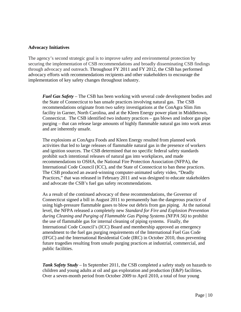#### **Advocacy Initiatives**

The agency's second strategic goal is to improve safety and environmental protection by securing the implementation of CSB recommendations and broadly disseminating CSB findings through advocacy and outreach. Throughout FY 2011 and FY 2012, the CSB has performed advocacy efforts with recommendations recipients and other stakeholders to encourage the implementation of key safety changes throughout industry.

*Fuel Gas Safety –* The CSB has been working with several code development bodies and the State of Connecticut to ban unsafe practices involving natural gas. The CSB recommendations originate from two safety investigations at the ConAgra Slim Jim facility in Garner, North Carolina, and at the Kleen Energy power plant in Middletown, Connecticut. The CSB identified two industry practices – gas blows and indoor gas pipe purging – that can release large amounts of highly flammable natural gas into work areas and are inherently unsafe.

The explosions at ConAgra Foods and Kleen Energy resulted from planned work activities that led to large releases of flammable natural gas in the presence of workers and ignition sources. The CSB determined that no specific federal safety standards prohibit such intentional releases of natural gas into workplaces, and made recommendations to OSHA, the National Fire Protection Association (NFPA), the International Code Council (ICC), and the State of Connecticut to ban these practices. The CSB produced an award-winning computer-animated safety video, "Deadly Practices," that was released in February 2011 and was designed to educate stakeholders and advocate the CSB's fuel gas safety recommendations.

As a result of the continued advocacy of these recommendations, the Governor of Connecticut signed a bill in August 2011 to permanently ban the dangerous practice of using high-pressure flammable gases to blow out debris from gas piping. At the national level, the NFPA released a completely new *Standard for Fire and Explosion Prevention during Cleaning and Purging of Flammable Gas Piping Systems (NFPA 56)* to prohibit the use of flammable gas for internal cleaning of piping systems. Finally, the International Code Council's (ICC) Board and membership approved an emergency amendment to the fuel gas purging requirements of the International Fuel Gas Code (IFGC) and the International Residential Code (IRC) in October 2010, thus preventing future tragedies resulting from unsafe purging practices at industrial, commercial, and public facilities.

*Tank Safety Study* – In September 2011, the CSB completed a safety study on hazards to children and young adults at oil and gas exploration and production (E&P) facilities. Over a seven-month period from October 2009 to April 2010, a total of four young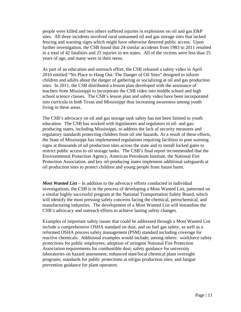people were killed and two others suffered injuries in explosions on oil and gas E&P sites. All three incidents involved rural unmanned oil and gas storage sites that lacked fencing and warning signs which might have otherwise deterred public access. Upon further investigation, the CSB found that 24 similar accidents from 1983 to 2011 resulted in a total of 42 fatalities and 25 injuries in ten states. All of the victims were less than 25 years of age, and many were in their teens.

As part of an education and outreach effort, the CSB released a safety video in April 2010 entitled "No Place to Hang Out: The Danger of Oil Sites" designed to inform children and adults about the danger of gathering or socializing at oil and gas production sites. In 2011, the CSB distributed a lesson plan developed with the assistance of teachers from Mississippi to incorporate the CSB video into middle school and high school science classes. The CSB's lesson plan and safety video have been incorporated into curricula in both Texas and Mississippi thus increasing awareness among youth living in these areas.

The CSB's advocacy on oil and gas storage tank safety has not been limited to youth education. The CSB has worked with legislatures and regulators in oil- and gasproducing states, including Mississippi, to address the lack of security measures and regulatory standards protecting children from oil site hazards. As a result of these efforts, the State of Mississippi has implemented regulations requiring facilities to post warning signs at thousands of oil production sites across the state and to install locked gates to restrict public access to oil storage tanks. The CSB's final report recommended that the Environmental Protection Agency, American Petroleum Institute, the National Fire Protection Association, and key oil-producing states implement additional safeguards at oil production sites to protect children and young people from future harm.

*Most Wanted List* – In addition to the advocacy efforts conducted in individual investigations, the CSB is in the process of developing a Most Wanted List, patterned on a similar highly successful program at the National Transportation Safety Board, which will identify the most pressing safety concerns facing the chemical, petrochemical, and manufacturing industries. The development of a Most Wanted List will streamline the CSB's advocacy and outreach efforts to achieve lasting safety changes.

Examples of important safety issues that could be addressed through a Most Wanted List include a comprehensive OSHA standard on dust, and on fuel gas safety, as well as a reformed OSHA process safety management (PSM) standard including coverage for reactive chemicals. Additional examples would include, among others: workforce safety protections for public employees; adoption of stringent National Fire Protection Association requirements for combustible dust; safety guidance for university laboratories on hazard assessment; enhanced state/local chemical plant oversight programs; standards for public protections at oil/gas production sites; and fatigue prevention guidance for plant operators.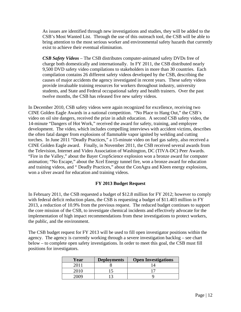As issues are identified through new investigations and studies, they will be added to the CSB's Most Wanted List. Through the use of this outreach tool, the CSB will be able to bring attention to the most serious worker and environmental safety hazards that currently exist to achieve their eventual elimination.

*CSB Safety Videos –* The CSB distributes computer-animated safety DVDs free of charge both domestically and internationally. In FY 2011, the CSB distributed nearly 9,500 DVD safety video compilations to stakeholders in more than 30 countries. Each compilation contains 26 different safety videos developed by the CSB, describing the causes of major accidents the agency investigated in recent years. These safety videos provide invaluable training resources for workers throughout industry, university students, and State and Federal occupational safety and health trainers. Over the past twelve months, the CSB has released five new safety videos.

In December 2010, CSB safety videos were again recognized for excellence, receiving two CINE Golden Eagle Awards in a national competition. "No Place to Hang Out," the CSB's video on oil site dangers, received the prize in adult education. A second CSB safety video, the 14-minute "Dangers of Hot Work," received the award for safety, training, and employee development. The video, which includes compelling interviews with accident victims, describes the often fatal danger from explosions of flammable vapor ignited by welding and cutting torches. In June 2011 "Deadly Practices," a 15-minute video on fuel gas safety, also received a CINE Golden Eagle award. Finally, in November 2011, the CSB received several awards from the Television, Internet and Video Association of Washington, DC (TIVA-DC) Peer Awards. "Fire in the Valley," about the Bayer CropScience explosion won a bronze award for computer animation; "No Escape," about the Xcel Energy tunnel fire, won a bronze award for education and training videos, and " Deadly Practices," about the ConAgra and Kleen energy explosions, won a silver award for education and training videos.

#### **FY 2013 Budget Request**

In February 2011, the CSB requested a budget of \$12.8 million for FY 2012; however to comply with federal deficit reduction plans, the CSB is requesting a budget of \$11.403 million in FY 2013, a reduction of 10.9% from the previous request. The reduced budget continues to support the core mission of the CSB, to investigate chemical incidents and effectively advocate for the implementation of high impact recommendations from these investigations to protect workers, the public, and the environment.

The CSB budget request for FY 2013 will be used to fill open investigator positions within the agency. The agency is currently working through a severe investigation backlog – see chart below – to complete open safety investigations. In order to meet this goal, the CSB must fill positions for investigators.

| Year | <b>Deployments</b> | <b>Open Investigations</b> |
|------|--------------------|----------------------------|
|      |                    |                            |
| 2010 |                    |                            |
| ነበበዓ |                    |                            |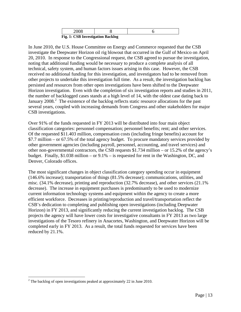| Fio<br>1. CSR Investigation Backlog |  |  |  |  |
|-------------------------------------|--|--|--|--|

 **Fig. 1: CSB Investigation Backlog**

In June 2010, the U.S. House Committee on Energy and Commerce requested that the CSB investigate the Deepwater Horizon oil rig blowout that occurred in the Gulf of Mexico on April 20, 2010. In response to the Congressional request, the CSB agreed to pursue the investigation, noting that additional funding would be necessary to produce a complete analysis of all technical, safety system, and human factors issues arising in this case. However, the CSB received no additional funding for this investigation, and investigators had to be removed from other projects to undertake this investigation full time. As a result, the investigation backlog has persisted and resources from other open investigations have been shifted to the Deepwater Horizon investigation. Even with the completion of six investigation reports and studies in 2011, the number of backlogged cases stands at a high level of 14, with the oldest case dating back to January [2](#page-13-0)008.<sup>2</sup> The existence of the backlog reflects static resource allocations for the past several years, coupled with increasing demands from Congress and other stakeholders for major CSB investigations.

Over 91% of the funds requested in FY 2013 will be distributed into four main object classification categories: personnel compensation; personnel benefits; rent; and other services. Of the requested \$11.403 million, compensation costs (including fringe benefits) account for \$7.7 million – or 67.5% of the total agency budget. To procure mandatory services provided by other government agencies (including payroll, personnel, accounting, and travel services) and other non-governmental contractors, the CSB requests \$1.734 million – or 15.2% of the agency's budget. Finally, \$1.038 million – or 9.1% – is requested for rent in the Washington, DC, and Denver, Colorado offices.

The most significant changes in object classification category spending occur in equipment (146.6% increase); transportation of things (81.5% decrease); communications, utilities, and misc. (34.1% decrease), printing and reproduction (32.7% decrease), and other services (21.1% decrease). The increase in equipment purchases is predominantly to be used to modernize current information technology systems and equipment within the agency to create a more efficient workforce. Decreases in printing/reproduction and travel/transportation reflect the CSB's dedication to completing and publishing open investigations (including Deepwater Horizon) in FY 2013, and significantly reducing the current investigation backlog. The CSB projects the agency will have lower costs for investigative consultants in FY 2013 as two large investigations of the Tesoro refinery in Anacortes, Washington, and Deepwater Horizon will be completed early in FY 2013. As a result, the total funds requested for services have been reduced by 21.1%.

 $\overline{\phantom{a}}$ 

<span id="page-13-0"></span> $2^2$  The backlog of open investigations peaked at approximately 22 in June 2010.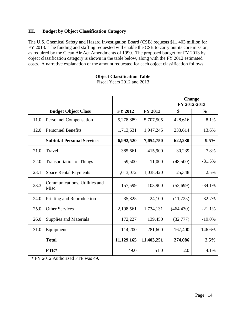#### **III. Budget by Object Classification Category**

The U.S. Chemical Safety and Hazard Investigation Board (CSB) requests \$11.403 million for FY 2013. The funding and staffing requested will enable the CSB to carry out its core mission, as required by the Clean Air Act Amendments of 1990. The proposed budget for FY 2013 by object classification category is shown in the table below, along with the FY 2012 estimated costs. A narrative explanation of the amount requested for each object classification follows.

### **Object Classification Table**

Fiscal Years 2012 and 2013

|      |                                        |                |                | <b>Change</b><br>FY 2012-2013 |               |
|------|----------------------------------------|----------------|----------------|-------------------------------|---------------|
|      | <b>Budget Object Class</b>             | <b>FY 2012</b> | <b>FY 2013</b> | \$                            | $\frac{0}{0}$ |
| 11.0 | <b>Personnel Compensation</b>          | 5,278,889      | 5,707,505      | 428,616                       | 8.1%          |
| 12.0 | <b>Personnel Benefits</b>              | 1,713,631      | 1,947,245      | 233,614                       | 13.6%         |
|      | <b>Subtotal Personal Services</b>      | 6,992,520      | 7,654,750      | 622,230                       | 9.5%          |
| 21.0 | Travel                                 | 385,661        | 415,900        | 30,239                        | 7.8%          |
| 22.0 | <b>Transportation of Things</b>        | 59,500         | 11,000         | (48,500)                      | $-81.5%$      |
| 23.1 | <b>Space Rental Payments</b>           | 1,013,072      | 1,038,420      | 25,348                        | 2.5%          |
| 23.3 | Communications, Utilities and<br>Misc. | 157,599        | 103,900        | (53,699)                      | $-34.1%$      |
| 24.0 | Printing and Reproduction              | 35,825         | 24,100         | (11, 725)                     | $-32.7%$      |
| 25.0 | <b>Other Services</b>                  | 2,198,561      | 1,734,131      | (464, 430)                    | $-21.1%$      |
| 26.0 | Supplies and Materials                 | 172,227        | 139,450        | (32, 777)                     | $-19.0%$      |
| 31.0 | Equipment                              | 114,200        | 281,600        | 167,400                       | 146.6%        |
|      | <b>Total</b>                           | 11,129,165     | 11,403,251     | 274,086                       | 2.5%          |
|      | $FTE*$                                 | 49.0           | 51.0           | 2.0                           | 4.1%          |

\* FY 2012 Authorized FTE was 49.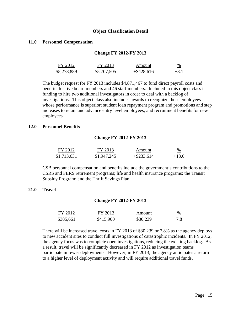#### **Object Classification Detail**

#### **11.0 Personnel Compensation**

#### **Change FY 2012-FY 2013**

| FY 2012     | FY 2013     | Amount        | $\frac{0}{2}$ |
|-------------|-------------|---------------|---------------|
| \$5,278,889 | \$5,707,505 | $+$ \$428,616 | $+8.1$        |

The budget request for FY 2013 includes \$4,871,467 to fund direct payroll costs and benefits for five board members and 46 staff members. Included in this object class is funding to hire two additional investigators in order to deal with a backlog of investigations. This object class also includes awards to recognize those employees whose performance is superior; student loan repayment program and promotions and step increases to retain and advance entry level employees; and recruitment benefits for new employees.

#### **12.0 Personnel Benefits**

#### **Change FY 2012-FY 2013**

| FY 2012     | FY 2013     | Amount        | $\frac{9}{6}$ |
|-------------|-------------|---------------|---------------|
| \$1,713,631 | \$1,947,245 | $+$ \$233,614 | $+13.6$       |

CSB personnel compensation and benefits include the government's contributions to the CSRS and FERS retirement programs; life and health insurance programs; the Transit Subsidy Program; and the Thrift Savings Plan.

#### **21.0 Travel**

#### **Change FY 2012-FY 2013**

| FY 2012   | FY 2013   | Amount   | $\%$<br>$\overline{\phantom{a}}$ |
|-----------|-----------|----------|----------------------------------|
| \$385,661 | \$415,900 | \$30,239 | 7.8                              |

There will be increased travel costs in FY 2013 of \$30,239 or 7.8% as the agency deploys to new accident sites to conduct full investigations of catastrophic incidents. In FY 2012, the agency focus was to complete open investigations, reducing the existing backlog. As a result, travel will be significantly decreased in FY 2012 as investigation teams participate in fewer deployments. However, in FY 2013, the agency anticipates a return to a higher level of deployment activity and will require additional travel funds.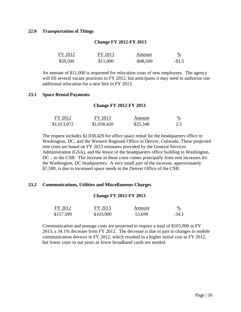#### **22.0 Transportation of Things**

#### **Change FY 2012-FY 2013**

| FY 2012  | FY 2013  | Amount       | $\frac{0}{0}$ |
|----------|----------|--------------|---------------|
| \$59,500 | \$11,000 | $-$ \$48,500 | $-81.5$       |

An amount of \$11,000 is requested for relocation costs of new employees. The agency will fill several vacant positions in FY 2012, but anticipates it may need to authorize one additional relocation for a new hire in FY 2013.

#### **23.1 Space Rental Payments**

#### **Change FY 2012-FY 2013**

| FY 2012     | FY 2013     | Amount   | $\%$ |
|-------------|-------------|----------|------|
| \$1,013,072 | \$1,038,420 | \$25,348 | 2.5  |

The request includes \$1,038,420 for office space rental for the headquarters office in Washington, DC, and the Western Regional Office in Denver, Colorado. These projected rent costs are based on FY 2013 estimates provided by the General Services Administration (GSA), and the lessor of the headquarters office building in Washington, DC – to the CSB. The increase in these costs comes principally from rent increases for the Washington, DC headquarters. A very small part of the increase, approximately \$7,500, is due to increased space needs in the Denver Office of the CSB.

#### **23.2 Communications, Utilities and Miscellaneous Charges**

#### **Change FY 2012-FY 2013**

| FY 2012   | FY 2013   | Amount | $\frac{9}{6}$ |
|-----------|-----------|--------|---------------|
| \$157,599 | \$103,900 | 53,699 | $-34.1$       |

Communication and postage costs are projected to require a total of \$103,900 in FY 2013, a 34.1% decrease from FY 2012. The decrease is due in part to changes in mobile communication devices in FY 2012, which resulted in a higher initial cost in FY 2012, but lower costs in out years as fewer broadband cards are needed.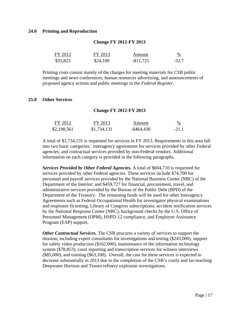#### **24.0 Printing and Reproduction**

| FY 2012  | FY 2013  | Amount     | $\frac{0}{0}$ |
|----------|----------|------------|---------------|
| \$35,825 | \$24,100 | $-$11,725$ | $-32.7$       |

**Change FY 2012-FY 2013**

#### Printing costs consist mainly of the charges for meeting materials for CSB public meetings and news conferences, human resources advertising, and announcements of proposed agency actions and public meetings in the *Federal Register*.

#### **25.0 Other Services**

#### **Change FY 2012-FY 2013**

| FY 2012     | FY 2013     | Amount        |         |
|-------------|-------------|---------------|---------|
| \$2,198,561 | \$1,734,131 | $-$ \$464,430 | $-21.1$ |

A total of \$1,734,131 is requested for services in FY 2013. Requirements in this area fall into two basic categories: interagency agreements for services provided by other Federal agencies; and contractual services provided by non-Federal vendors. Additional information on each category is provided in the following paragraphs.

*Services Provided by Other Federal Agencies.* A total of \$604,710 is requested for services provided by other Federal agencies. These services include \$74,700 for personnel and payroll services provided by the National Business Center (NBC) of the Department of the Interior; and \$459,727 for financial, procurement, travel, and administrative services provided by the Bureau of the Public Debt (BPD) of the Department of the Treasury. The remaining funds will be used for other Interagency Agreements such as Federal Occupational Health for investigator physical examinations and respirator fit testing, Library of Congress subscriptions, accident notification services by the National Response Center (NRC), background checks by the U.S. Office of Personnel Management (OPM), HSPD-12 compliance, and Employee Assistance Program (EAP) support.

*Other Contractual Services.* The CSB procures a variety of services to support the mission, including expert consultants for investigations and testing (\$243,000), support for safety video production (\$162,000), maintenance of the information technology system (\$78,853), court reporting and transcription services for witness interviews (\$85,000), and training (\$63,100). Overall, the cost for these services is expected to decrease substantially in 2013 due to the completion of the CSB's costly and far-reaching Deepwater Horizon and Tesoro refinery explosion investigations.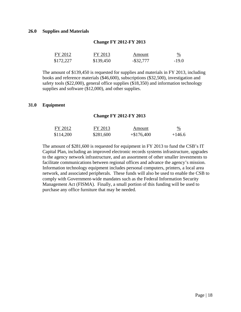#### **26.0 Supplies and Materials**

## **Change FY 2012-FY 2013**

| FY 2012   | FY 2013   | Amount       |         |
|-----------|-----------|--------------|---------|
| \$172,227 | \$139,450 | $-$ \$32,777 | $-19.0$ |

The amount of \$139,450 is requested for supplies and materials in FY 2013, including books and reference materials (\$46,600), subscriptions (\$32,500), investigation and safety tools (\$22,000), general office supplies (\$18,350) and information technology supplies and software (\$12,000), and other supplies.

#### **31.0 Equipment**

#### **Change FY 2012-FY 2013**

| FY 2012   | FY 2013   | Amount       | %<br><u>and the company of the company of the company of the company of the company of the company of the company of the company of the company of the company of the company of the company of the company of the company of the com</u> |
|-----------|-----------|--------------|-------------------------------------------------------------------------------------------------------------------------------------------------------------------------------------------------------------------------------------------|
| \$114,200 | \$281,600 | $+\$176,400$ | $+146.6$                                                                                                                                                                                                                                  |

The amount of \$281,600 is requested for equipment in FY 2013 to fund the CSB's IT Capital Plan, including an improved electronic records systems infrastructure, upgrades to the agency network infrastructure, and an assortment of other smaller investments to facilitate communications between regional offices and advance the agency's mission. Information technology equipment includes personal computers, printers, a local area network, and associated peripherals. These funds will also be used to enable the CSB to comply with Government-wide mandates such as the Federal Information Security Management Act (FISMA). Finally, a small portion of this funding will be used to purchase any office furniture that may be needed.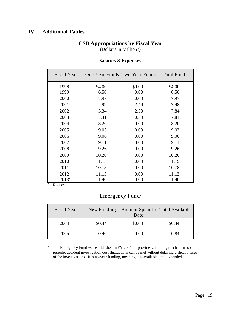## **IV. Additional Tables**

### **CSB Appropriations by Fiscal Year**

(Dollars in Millions)

| Fiscal Year |        | One-Year Funds Two-Year Funds | <b>Total Funds</b> |
|-------------|--------|-------------------------------|--------------------|
| 1998        | \$4.00 | \$0.00                        | \$4.00             |
| 1999        | 6.50   | 0.00                          | 6.50               |
| 2000        | 7.97   | 0.00                          | 7.97               |
| 2001        | 4.99   | 2.49                          | 7.48               |
| 2002        | 5.34   | 2.50                          | 7.84               |
| 2003        | 7.31   | 0.50                          | 7.81               |
| 2004        | 8.20   | 0.00                          | 8.20               |
| 2005        | 9.03   | 0.00                          | 9.03               |
| 2006        | 9.06   | 0.00                          | 9.06               |
| 2007        | 9.11   | 0.00                          | 9.11               |
| 2008        | 9.26   | 0.00                          | 9.26               |
| 2009        | 10.20  | 0.00                          | 10.20              |
| 2010        | 11.15  | 0.00                          | 11.15              |
| 2011        | 10.78  | 0.00                          | 10.78              |
| 2012        | 11.13  | 0.00                          | 11.13              |
| $2013^a$    | 11.40  | 0.00                          | 11.40              |

#### **Salaries & Expenses**

<sup>a</sup> Request

# Emergency Fund<sup>c</sup>

| <b>Fiscal Year</b> | New Funding | Amount Spent to Total Available<br>Date |        |
|--------------------|-------------|-----------------------------------------|--------|
| 2004               | \$0.44      | \$0.00                                  | \$0.44 |
| 2005               | 0.40        | 0.00                                    | 0.84   |

 $\degree$  The Emergency Fund was established in FY 2004. It provides a funding mechanism so periodic accident investigation cost fluctuations can be met without delaying critical phases of the investigations. It is no-year funding, meaning it is available until expended.